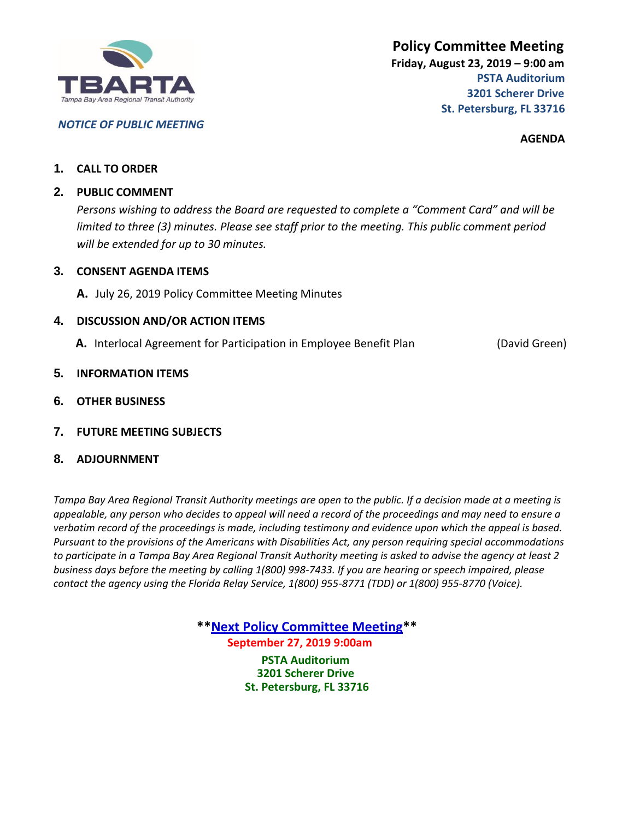

### *NOTICE OF PUBLIC MEETING*

**AGENDA**

### **1. CALL TO ORDER**

### **2. PUBLIC COMMENT**

*Persons wishing to address the Board are requested to complete a "Comment Card" and will be limited to three (3) minutes. Please see staff prior to the meeting. This public comment period will be extended for up to 30 minutes.*

### **3. CONSENT AGENDA ITEMS**

**A.** July 26, 2019 Policy Committee Meeting Minutes

## **4. DISCUSSION AND/OR ACTION ITEMS**

**A.** Interlocal Agreement for Participation in Employee Benefit Plan (David Green)

### **5. INFORMATION ITEMS**

**6. OTHER BUSINESS**

## **7. FUTURE MEETING SUBJECTS**

**8. ADJOURNMENT**

*Tampa Bay Area Regional Transit Authority meetings are open to the public. If a decision made at a meeting is appealable, any person who decides to appeal will need a record of the proceedings and may need to ensure a verbatim record of the proceedings is made, including testimony and evidence upon which the appeal is based. Pursuant to the provisions of the Americans with Disabilities Act, any person requiring special accommodations to participate in a Tampa Bay Area Regional Transit Authority meeting is asked to advise the agency at least 2 business days before the meeting by calling 1(800) 998-7433. If you are hearing or speech impaired, please contact the agency using the Florida Relay Service, 1(800) 955-8771 (TDD) or 1(800) 955-8770 (Voice).*

> **\*\*Next Policy Committee Meeting\*\* September 27, 2019 9:00am PSTA Auditorium 3201 Scherer Drive St. Petersburg, FL 33716**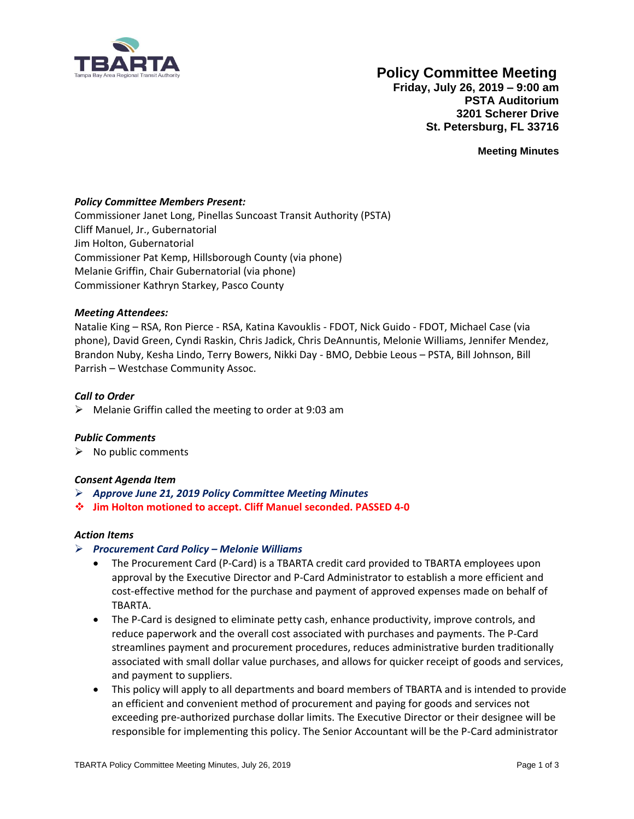

# **Policy Committee Meeting**

**Friday, July 26, 2019 – 9:00 am PSTA Auditorium 3201 Scherer Drive St. Petersburg, FL 33716**

**Meeting Minutes**

#### *Policy Committee Members Present:*

Commissioner Janet Long, Pinellas Suncoast Transit Authority (PSTA) Cliff Manuel, Jr., Gubernatorial Jim Holton, Gubernatorial Commissioner Pat Kemp, Hillsborough County (via phone) Melanie Griffin, Chair Gubernatorial (via phone) Commissioner Kathryn Starkey, Pasco County

#### *Meeting Attendees:*

Natalie King – RSA, Ron Pierce - RSA, Katina Kavouklis - FDOT, Nick Guido - FDOT, Michael Case (via phone), David Green, Cyndi Raskin, Chris Jadick, Chris DeAnnuntis, Melonie Williams, Jennifer Mendez, Brandon Nuby, Kesha Lindo, Terry Bowers, Nikki Day - BMO, Debbie Leous – PSTA, Bill Johnson, Bill Parrish – Westchase Community Assoc.

#### *Call to Order*

 $\triangleright$  Melanie Griffin called the meeting to order at 9:03 am

#### *Public Comments*

 $\triangleright$  No public comments

#### *Consent Agenda Item*

- ➢ *Approve June 21, 2019 Policy Committee Meeting Minutes*
- ❖ **Jim Holton motioned to accept. Cliff Manuel seconded. PASSED 4-0**

#### *Action Items*

#### ➢ *Procurement Card Policy – Melonie Williams*

- The Procurement Card (P-Card) is a TBARTA credit card provided to TBARTA employees upon approval by the Executive Director and P-Card Administrator to establish a more efficient and cost-effective method for the purchase and payment of approved expenses made on behalf of TBARTA.
- The P-Card is designed to eliminate petty cash, enhance productivity, improve controls, and reduce paperwork and the overall cost associated with purchases and payments. The P-Card streamlines payment and procurement procedures, reduces administrative burden traditionally associated with small dollar value purchases, and allows for quicker receipt of goods and services, and payment to suppliers.
- This policy will apply to all departments and board members of TBARTA and is intended to provide an efficient and convenient method of procurement and paying for goods and services not exceeding pre-authorized purchase dollar limits. The Executive Director or their designee will be responsible for implementing this policy. The Senior Accountant will be the P-Card administrator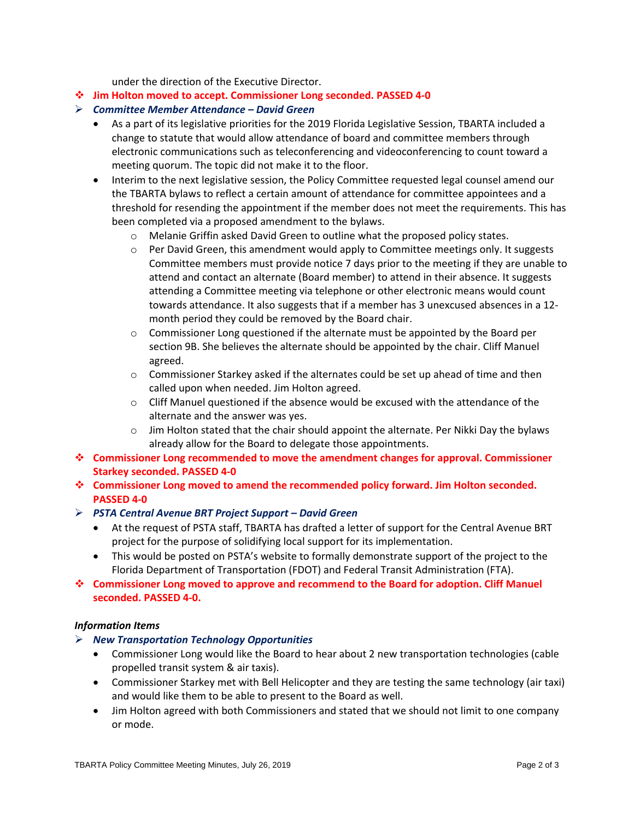under the direction of the Executive Director.

❖ **Jim Holton moved to accept. Commissioner Long seconded. PASSED 4-0**

#### ➢ *Committee Member Attendance – David Green*

- As a part of its legislative priorities for the 2019 Florida Legislative Session, TBARTA included a change to statute that would allow attendance of board and committee members through electronic communications such as teleconferencing and videoconferencing to count toward a meeting quorum. The topic did not make it to the floor.
- Interim to the next legislative session, the Policy Committee requested legal counsel amend our the TBARTA bylaws to reflect a certain amount of attendance for committee appointees and a threshold for resending the appointment if the member does not meet the requirements. This has been completed via a proposed amendment to the bylaws.
	- o Melanie Griffin asked David Green to outline what the proposed policy states.
	- $\circ$  Per David Green, this amendment would apply to Committee meetings only. It suggests Committee members must provide notice 7 days prior to the meeting if they are unable to attend and contact an alternate (Board member) to attend in their absence. It suggests attending a Committee meeting via telephone or other electronic means would count towards attendance. It also suggests that if a member has 3 unexcused absences in a 12 month period they could be removed by the Board chair.
	- $\circ$  Commissioner Long questioned if the alternate must be appointed by the Board per section 9B. She believes the alternate should be appointed by the chair. Cliff Manuel agreed.
	- o Commissioner Starkey asked if the alternates could be set up ahead of time and then called upon when needed. Jim Holton agreed.
	- $\circ$  Cliff Manuel questioned if the absence would be excused with the attendance of the alternate and the answer was yes.
	- $\circ$  Jim Holton stated that the chair should appoint the alternate. Per Nikki Day the bylaws already allow for the Board to delegate those appointments.
- ❖ **Commissioner Long recommended to move the amendment changes for approval. Commissioner Starkey seconded. PASSED 4-0**
- ❖ **Commissioner Long moved to amend the recommended policy forward. Jim Holton seconded. PASSED 4-0**
- ➢ *PSTA Central Avenue BRT Project Support – David Green* 
	- At the request of PSTA staff, TBARTA has drafted a letter of support for the Central Avenue BRT project for the purpose of solidifying local support for its implementation.
	- This would be posted on PSTA's website to formally demonstrate support of the project to the Florida Department of Transportation (FDOT) and Federal Transit Administration (FTA).
- ❖ **Commissioner Long moved to approve and recommend to the Board for adoption. Cliff Manuel seconded. PASSED 4-0.**

#### *Information Items*

- ➢ *New Transportation Technology Opportunities*
	- Commissioner Long would like the Board to hear about 2 new transportation technologies (cable propelled transit system & air taxis).
	- Commissioner Starkey met with Bell Helicopter and they are testing the same technology (air taxi) and would like them to be able to present to the Board as well.
	- Jim Holton agreed with both Commissioners and stated that we should not limit to one company or mode.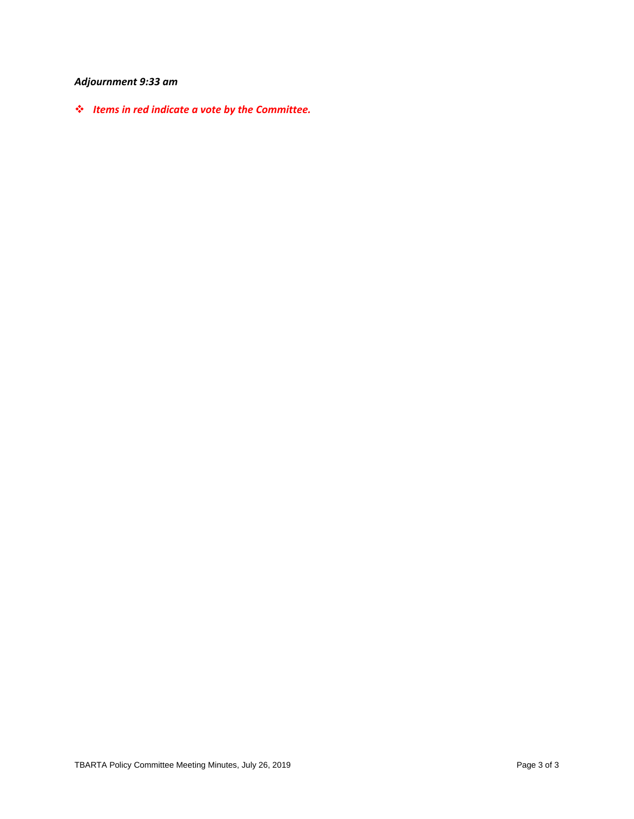# *Adjournment 9:33 am*

❖ *Items in red indicate a vote by the Committee.*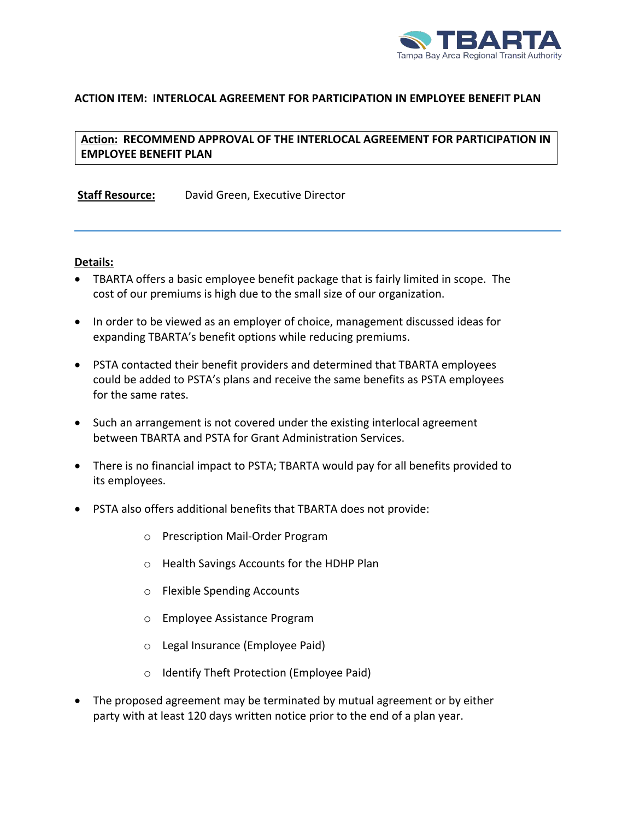

## **ACTION ITEM: INTERLOCAL AGREEMENT FOR PARTICIPATION IN EMPLOYEE BENEFIT PLAN**

# **Action: RECOMMEND APPROVAL OF THE INTERLOCAL AGREEMENT FOR PARTICIPATION IN EMPLOYEE BENEFIT PLAN**

**Staff Resource:** David Green, Executive Director

#### **Details:**

- TBARTA offers a basic employee benefit package that is fairly limited in scope. The cost of our premiums is high due to the small size of our organization.
- In order to be viewed as an employer of choice, management discussed ideas for expanding TBARTA's benefit options while reducing premiums.
- PSTA contacted their benefit providers and determined that TBARTA employees could be added to PSTA's plans and receive the same benefits as PSTA employees for the same rates.
- Such an arrangement is not covered under the existing interlocal agreement between TBARTA and PSTA for Grant Administration Services.
- There is no financial impact to PSTA; TBARTA would pay for all benefits provided to its employees.
- PSTA also offers additional benefits that TBARTA does not provide:
	- o Prescription Mail-Order Program
	- o Health Savings Accounts for the HDHP Plan
	- o Flexible Spending Accounts
	- o Employee Assistance Program
	- o Legal Insurance (Employee Paid)
	- o Identify Theft Protection (Employee Paid)
- The proposed agreement may be terminated by mutual agreement or by either party with at least 120 days written notice prior to the end of a plan year.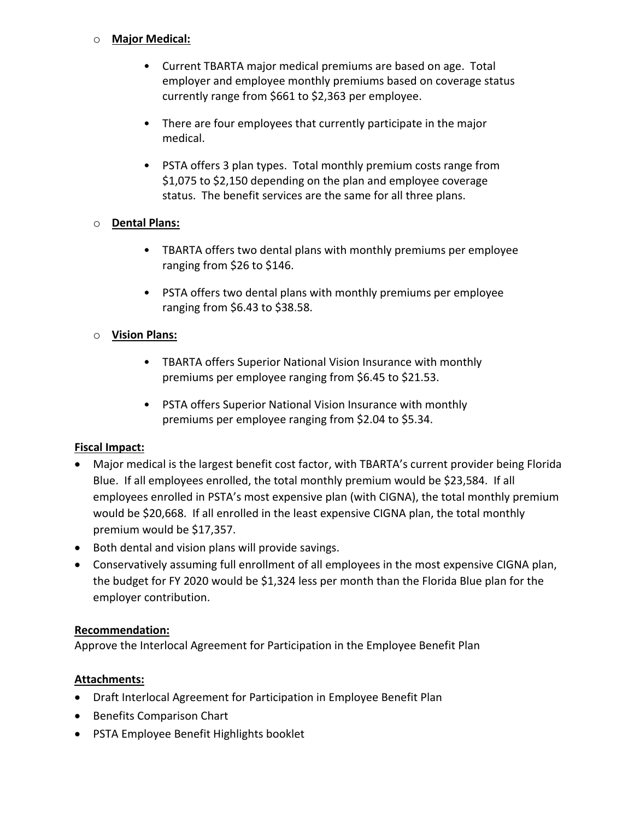## o **Major Medical:**

- Current TBARTA major medical premiums are based on age. Total employer and employee monthly premiums based on coverage status currently range from \$661 to \$2,363 per employee.
- There are four employees that currently participate in the major medical.
- PSTA offers 3 plan types. Total monthly premium costs range from \$1,075 to \$2,150 depending on the plan and employee coverage status. The benefit services are the same for all three plans.

## o **Dental Plans:**

- TBARTA offers two dental plans with monthly premiums per employee ranging from \$26 to \$146.
- PSTA offers two dental plans with monthly premiums per employee ranging from \$6.43 to \$38.58.

# o **Vision Plans:**

- TBARTA offers Superior National Vision Insurance with monthly premiums per employee ranging from \$6.45 to \$21.53.
- PSTA offers Superior National Vision Insurance with monthly premiums per employee ranging from \$2.04 to \$5.34.

# **Fiscal Impact:**

- Major medical is the largest benefit cost factor, with TBARTA's current provider being Florida Blue. If all employees enrolled, the total monthly premium would be \$23,584. If all employees enrolled in PSTA's most expensive plan (with CIGNA), the total monthly premium would be \$20,668. If all enrolled in the least expensive CIGNA plan, the total monthly premium would be \$17,357.
- Both dental and vision plans will provide savings.
- Conservatively assuming full enrollment of all employees in the most expensive CIGNA plan, the budget for FY 2020 would be \$1,324 less per month than the Florida Blue plan for the employer contribution.

# **Recommendation:**

Approve the Interlocal Agreement for Participation in the Employee Benefit Plan

# **Attachments:**

- Draft Interlocal Agreement for Participation in Employee Benefit Plan
- Benefits Comparison Chart
- PSTA Employee Benefit Highlights booklet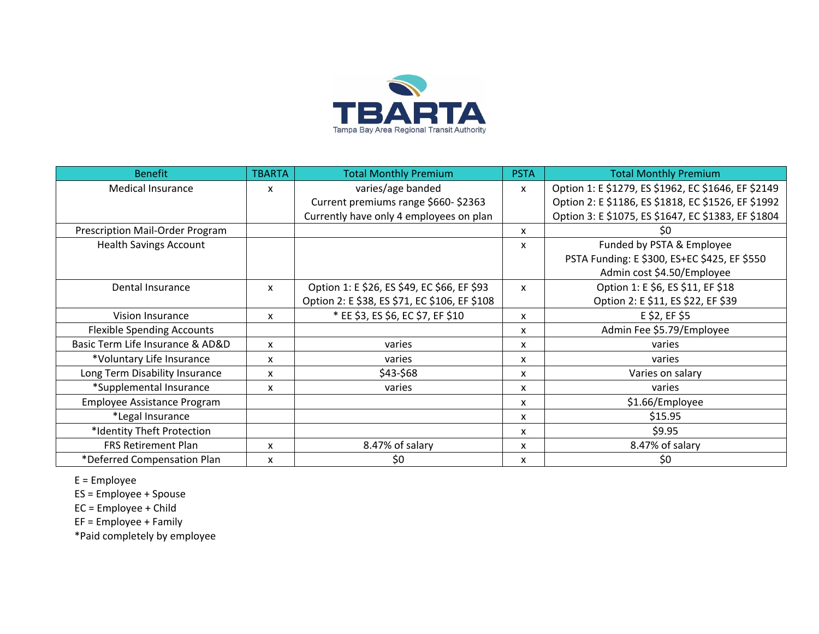

| <b>Benefit</b>                    | <b>TBARTA</b> | <b>Total Monthly Premium</b>                  | <b>PSTA</b>  | <b>Total Monthly Premium</b>                        |
|-----------------------------------|---------------|-----------------------------------------------|--------------|-----------------------------------------------------|
| <b>Medical Insurance</b>          | x             | varies/age banded                             | $\mathsf{x}$ | Option 1: E \$1279, ES \$1962, EC \$1646, EF \$2149 |
|                                   |               | Current premiums range \$660-\$2363           |              | Option 2: E \$1186, ES \$1818, EC \$1526, EF \$1992 |
|                                   |               | Currently have only 4 employees on plan       |              | Option 3: E \$1075, ES \$1647, EC \$1383, EF \$1804 |
| Prescription Mail-Order Program   |               |                                               | x            | \$0                                                 |
| <b>Health Savings Account</b>     |               |                                               | X            | Funded by PSTA & Employee                           |
|                                   |               |                                               |              | PSTA Funding: E \$300, ES+EC \$425, EF \$550        |
|                                   |               |                                               |              | Admin cost \$4.50/Employee                          |
| Dental Insurance                  | x             | Option 1: E \$26, ES \$49, EC \$66, EF \$93   | $\mathsf{x}$ | Option 1: E \$6, ES \$11, EF \$18                   |
|                                   |               | Option 2: E \$38, ES \$71, EC \$106, EF \$108 |              | Option 2: E \$11, ES \$22, EF \$39                  |
| Vision Insurance                  | X             | * EE \$3, ES \$6, EC \$7, EF \$10             | X            | E \$2, EF \$5                                       |
| <b>Flexible Spending Accounts</b> |               |                                               | x            | Admin Fee \$5.79/Employee                           |
| Basic Term Life Insurance & AD&D  | X             | varies                                        | x            | varies                                              |
| *Voluntary Life Insurance         | X             | varies                                        | x            | varies                                              |
| Long Term Disability Insurance    | x             | \$43-\$68                                     | x            | Varies on salary                                    |
| *Supplemental Insurance           | x             | varies                                        | x            | varies                                              |
| Employee Assistance Program       |               |                                               | x            | \$1.66/Employee                                     |
| *Legal Insurance                  |               |                                               | X            | \$15.95                                             |
| *Identity Theft Protection        |               |                                               | x            | \$9.95                                              |
| <b>FRS Retirement Plan</b>        | X             | 8.47% of salary                               | x            | 8.47% of salary                                     |
| *Deferred Compensation Plan       | x             | \$0                                           | x            | \$0                                                 |

E = Employee

ES = Employee + Spouse

EC = Employee + Child

EF = Employee + Family

\*Paid completely by employee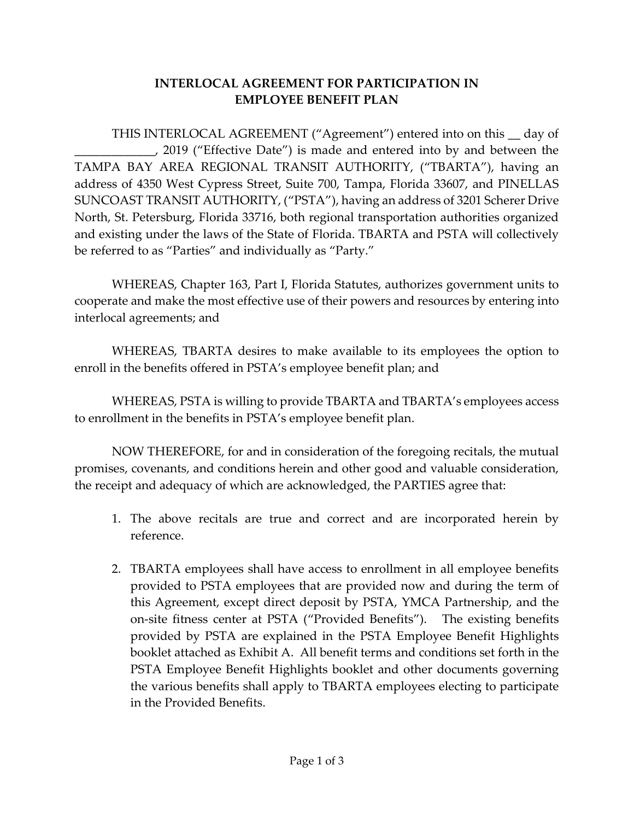# **INTERLOCAL AGREEMENT FOR PARTICIPATION IN EMPLOYEE BENEFIT PLAN**

THIS INTERLOCAL AGREEMENT ("Agreement") entered into on this \_\_ day of \_\_\_\_\_\_\_\_\_\_\_\_\_, 2019 ("Effective Date") is made and entered into by and between the TAMPA BAY AREA REGIONAL TRANSIT AUTHORITY, ("TBARTA"), having an address of 4350 West Cypress Street, Suite 700, Tampa, Florida 33607, and PINELLAS SUNCOAST TRANSIT AUTHORITY, ("PSTA"), having an address of 3201 Scherer Drive North, St. Petersburg, Florida 33716, both regional transportation authorities organized and existing under the laws of the State of Florida. TBARTA and PSTA will collectively be referred to as "Parties" and individually as "Party."

WHEREAS, Chapter 163, Part I, Florida Statutes, authorizes government units to cooperate and make the most effective use of their powers and resources by entering into interlocal agreements; and

WHEREAS, TBARTA desires to make available to its employees the option to enroll in the benefits offered in PSTA's employee benefit plan; and

WHEREAS, PSTA is willing to provide TBARTA and TBARTA's employees access to enrollment in the benefits in PSTA's employee benefit plan.

NOW THEREFORE, for and in consideration of the foregoing recitals, the mutual promises, covenants, and conditions herein and other good and valuable consideration, the receipt and adequacy of which are acknowledged, the PARTIES agree that:

- 1. The above recitals are true and correct and are incorporated herein by reference.
- 2. TBARTA employees shall have access to enrollment in all employee benefits provided to PSTA employees that are provided now and during the term of this Agreement, except direct deposit by PSTA, YMCA Partnership, and the on-site fitness center at PSTA ("Provided Benefits"). The existing benefits provided by PSTA are explained in the PSTA Employee Benefit Highlights booklet attached as Exhibit A. All benefit terms and conditions set forth in the PSTA Employee Benefit Highlights booklet and other documents governing the various benefits shall apply to TBARTA employees electing to participate in the Provided Benefits.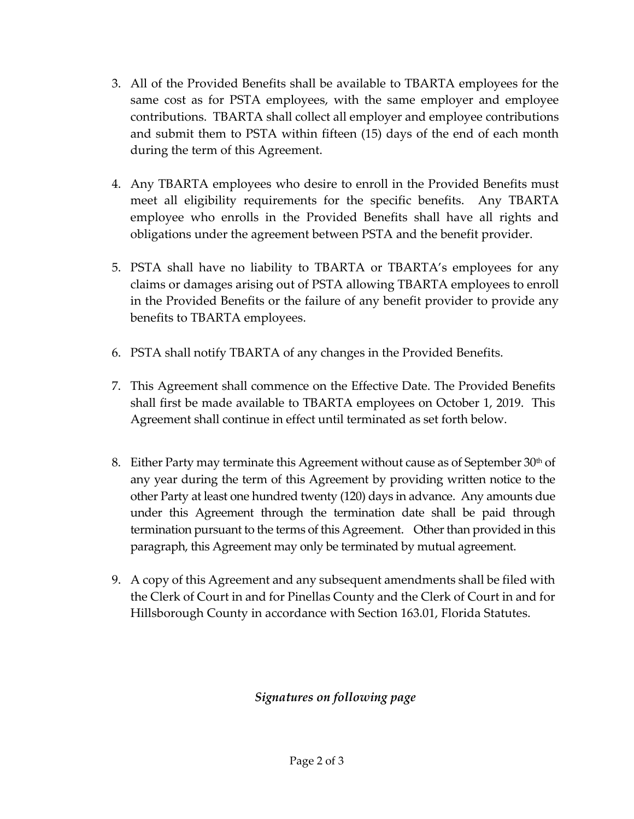- 3. All of the Provided Benefits shall be available to TBARTA employees for the same cost as for PSTA employees, with the same employer and employee contributions. TBARTA shall collect all employer and employee contributions and submit them to PSTA within fifteen (15) days of the end of each month during the term of this Agreement.
- 4. Any TBARTA employees who desire to enroll in the Provided Benefits must meet all eligibility requirements for the specific benefits. Any TBARTA employee who enrolls in the Provided Benefits shall have all rights and obligations under the agreement between PSTA and the benefit provider.
- 5. PSTA shall have no liability to TBARTA or TBARTA's employees for any claims or damages arising out of PSTA allowing TBARTA employees to enroll in the Provided Benefits or the failure of any benefit provider to provide any benefits to TBARTA employees.
- 6. PSTA shall notify TBARTA of any changes in the Provided Benefits.
- 7. This Agreement shall commence on the Effective Date. The Provided Benefits shall first be made available to TBARTA employees on October 1, 2019. This Agreement shall continue in effect until terminated as set forth below.
- 8. Either Party may terminate this Agreement without cause as of September  $30<sup>th</sup>$  of any year during the term of this Agreement by providing written notice to the other Party at least one hundred twenty (120) days in advance. Any amounts due under this Agreement through the termination date shall be paid through termination pursuant to the terms of this Agreement. Other than provided in this paragraph, this Agreement may only be terminated by mutual agreement.
- 9. A copy of this Agreement and any subsequent amendments shall be filed with the Clerk of Court in and for Pinellas County and the Clerk of Court in and for Hillsborough County in accordance with Section 163.01, Florida Statutes.

# *Signatures on following page*